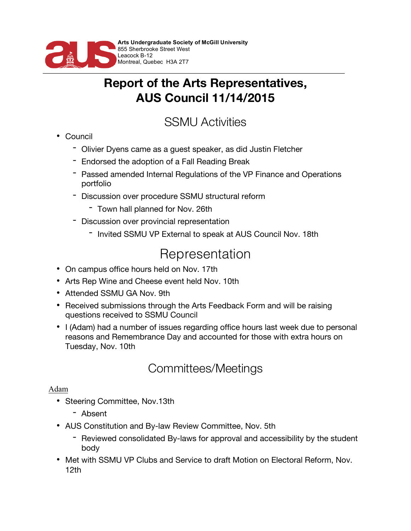

### **Report of the Arts Representatives, AUS Council 11/14/2015**

## SSMU Activities

- Council
	- Olivier Dyens came as a guest speaker, as did Justin Fletcher
	- Endorsed the adoption of a Fall Reading Break
	- Passed amended Internal Regulations of the VP Finance and Operations portfolio
	- Discussion over procedure SSMU structural reform
		- Town hall planned for Nov. 26th
	- Discussion over provincial representation
		- Invited SSMU VP External to speak at AUS Council Nov. 18th

# Representation

- On campus office hours held on Nov. 17th
- Arts Rep Wine and Cheese event held Nov. 10th
- Attended SSMU GA Nov. 9th
- Received submissions through the Arts Feedback Form and will be raising questions received to SSMU Council
- I (Adam) had a number of issues regarding office hours last week due to personal reasons and Remembrance Day and accounted for those with extra hours on Tuesday, Nov. 10th

## Committees/Meetings

### Adam

- Steering Committee, Nov.13th
	- Absent
- AUS Constitution and By-law Review Committee, Nov. 5th
	- Reviewed consolidated By-laws for approval and accessibility by the student body
- Met with SSMU VP Clubs and Service to draft Motion on Electoral Reform, Nov. 12th